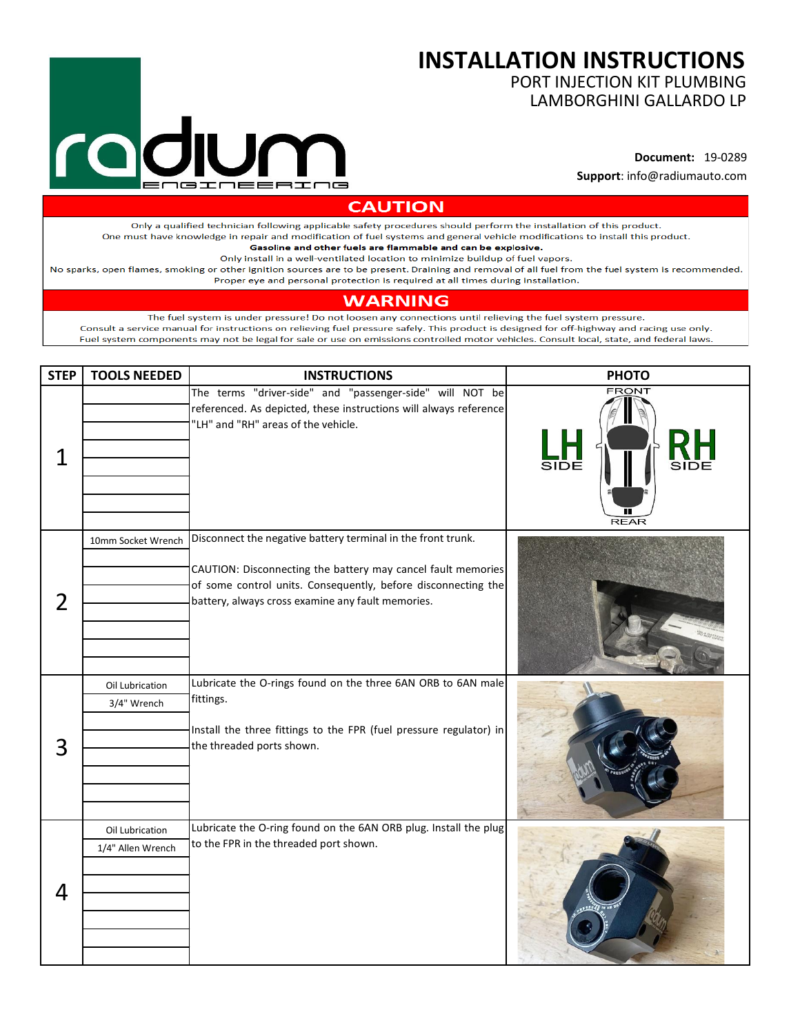## ∍≖⊓  $\equiv$   $\equiv$  F ᅚ

## **INSTALLATION INSTRUCTIONS**

PORT INJECTION KIT PLUMBING LAMBORGHINI GALLARDO LP

**Document:** 19-0289 **Support**: info@radiumauto.com

**CAUTION** 

Only a qualified technician following applicable safety procedures should perform the installation of this product. One must have knowledge in repair and modification of fuel systems and general vehicle modifications to install this product.

Gasoline and other fuels are flammable and can be explosive.

Only install in a well-ventilated location to minimize buildup of fuel vapors.

No sparks, open flames, smoking or other ignition sources are to be present. Draining and removal of all fuel from the fuel system is recommended. Proper eye and personal protection is required at all times during installation.

## **WARNING**

The fuel system is under pressure! Do not loosen any connections until relieving the fuel system pressure. Consult a service manual for instructions on relieving fuel pressure safely. This product is designed for off-highway and racing use only. Fuel system components may not be legal for sale or use on emissions controlled motor vehicles. Consult local, state, and federal laws.

| <b>STEP</b>    | <b>TOOLS NEEDED</b>                  | <b>INSTRUCTIONS</b>                                                                                                                                                                                                                                | <b>PHOTO</b>                        |
|----------------|--------------------------------------|----------------------------------------------------------------------------------------------------------------------------------------------------------------------------------------------------------------------------------------------------|-------------------------------------|
| $\overline{1}$ |                                      | The terms "driver-side" and "passenger-side" will NOT be<br>referenced. As depicted, these instructions will always reference<br>"LH" and "RH" areas of the vehicle.                                                                               | <b>FRONT</b><br>SIDE<br><b>REAR</b> |
| $\overline{2}$ | 10mm Socket Wrench                   | Disconnect the negative battery terminal in the front trunk.<br>CAUTION: Disconnecting the battery may cancel fault memories<br>of some control units. Consequently, before disconnecting the<br>battery, always cross examine any fault memories. |                                     |
| 3              | Oil Lubrication<br>3/4" Wrench       | Lubricate the O-rings found on the three 6AN ORB to 6AN male<br>fittings.<br>Install the three fittings to the FPR (fuel pressure regulator) in<br>the threaded ports shown.                                                                       |                                     |
| 4              | Oil Lubrication<br>1/4" Allen Wrench | Lubricate the O-ring found on the 6AN ORB plug. Install the plug<br>to the FPR in the threaded port shown.                                                                                                                                         |                                     |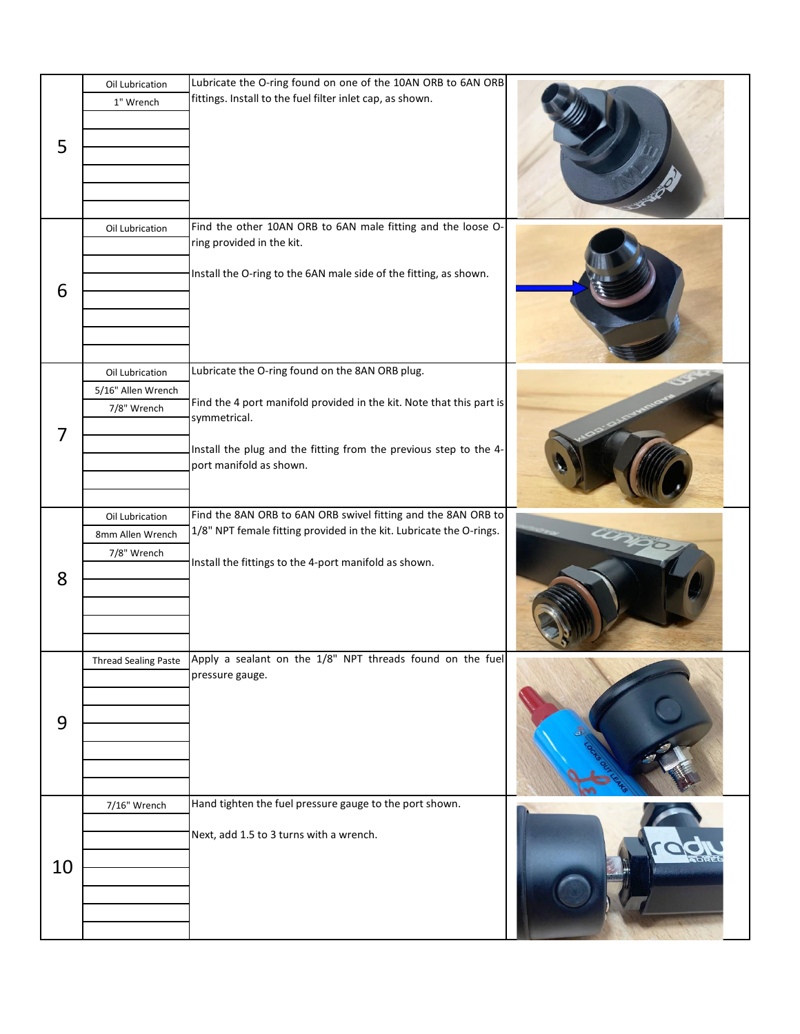| 5  | Oil Lubrication<br>1" Wrench                         | Lubricate the O-ring found on one of the 10AN ORB to 6AN ORB<br>fittings. Install to the fuel filter inlet cap, as shown.                                                                                                               |  |
|----|------------------------------------------------------|-----------------------------------------------------------------------------------------------------------------------------------------------------------------------------------------------------------------------------------------|--|
| 6  | Oil Lubrication                                      | Find the other 10AN ORB to 6AN male fitting and the loose O-<br>ring provided in the kit.<br>Install the O-ring to the 6AN male side of the fitting, as shown.                                                                          |  |
| 7  | Oil Lubrication<br>5/16" Allen Wrench<br>7/8" Wrench | Lubricate the O-ring found on the 8AN ORB plug.<br>Find the 4 port manifold provided in the kit. Note that this part is<br>symmetrical.<br>Install the plug and the fitting from the previous step to the 4-<br>port manifold as shown. |  |
| 8  | Oil Lubrication<br>8mm Allen Wrench<br>7/8" Wrench   | Find the 8AN ORB to 6AN ORB swivel fitting and the 8AN ORB to<br>1/8" NPT female fitting provided in the kit. Lubricate the O-rings.<br>Install the fittings to the 4-port manifold as shown.                                           |  |
| 9  | <b>Thread Sealing Paste</b>                          | Apply a sealant on the 1/8" NPT threads found on the fuel<br>pressure gauge.                                                                                                                                                            |  |
| 10 | 7/16" Wrench                                         | Hand tighten the fuel pressure gauge to the port shown.<br>Next, add 1.5 to 3 turns with a wrench.                                                                                                                                      |  |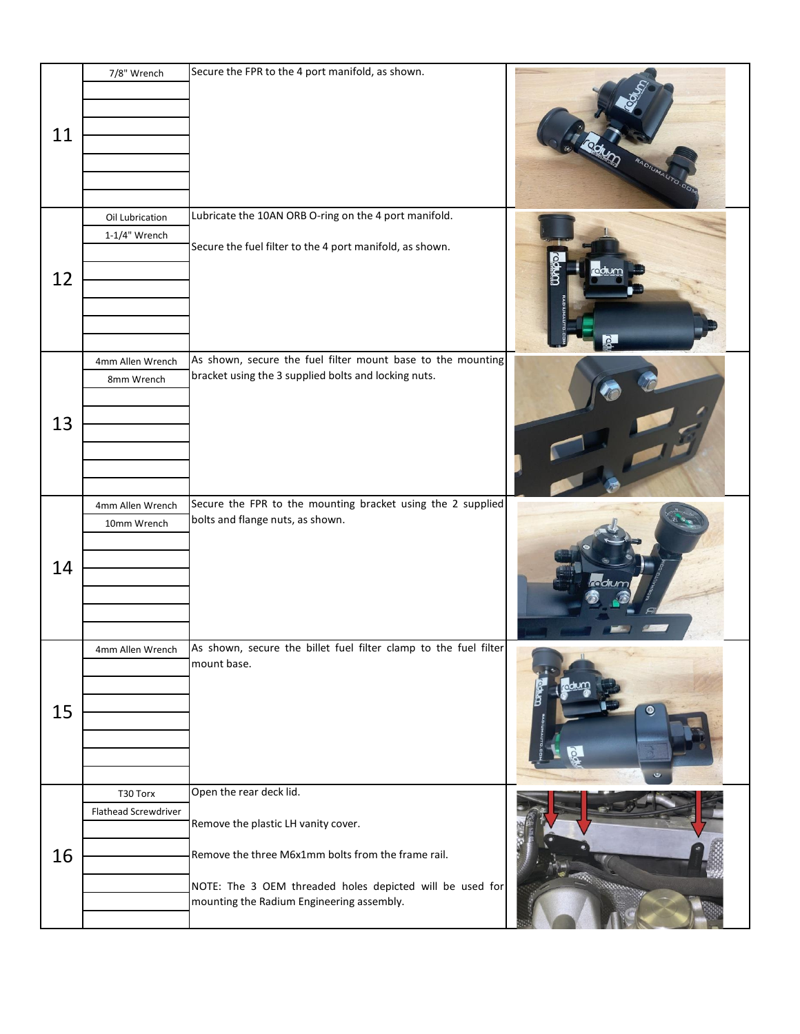|    | 7/8" Wrench          | Secure the FPR to the 4 port manifold, as shown.                                                                                                      |           |
|----|----------------------|-------------------------------------------------------------------------------------------------------------------------------------------------------|-----------|
| 11 |                      |                                                                                                                                                       |           |
|    | Oil Lubrication      | Lubricate the 10AN ORB O-ring on the 4 port manifold.                                                                                                 |           |
|    | $1-1/4"$ Wrench      | Secure the fuel filter to the 4 port manifold, as shown.                                                                                              |           |
| 12 |                      |                                                                                                                                                       |           |
|    | 4mm Allen Wrench     | As shown, secure the fuel filter mount base to the mounting                                                                                           |           |
| 13 | 8mm Wrench           | bracket using the 3 supplied bolts and locking nuts.                                                                                                  |           |
|    | 4mm Allen Wrench     | Secure the FPR to the mounting bracket using the 2 supplied                                                                                           |           |
| 14 | 10mm Wrench          | bolts and flange nuts, as shown.                                                                                                                      |           |
|    | 4mm Allen Wrench     | As shown, secure the billet fuel filter clamp to the fuel filter<br>mount base.                                                                       |           |
| 15 |                      |                                                                                                                                                       | $\bullet$ |
|    | T30 Torx             | Open the rear deck lid.                                                                                                                               |           |
|    | Flathead Screwdriver |                                                                                                                                                       |           |
| 16 |                      | Remove the plastic LH vanity cover.<br>Remove the three M6x1mm bolts from the frame rail.<br>NOTE: The 3 OEM threaded holes depicted will be used for |           |
|    |                      | mounting the Radium Engineering assembly.                                                                                                             |           |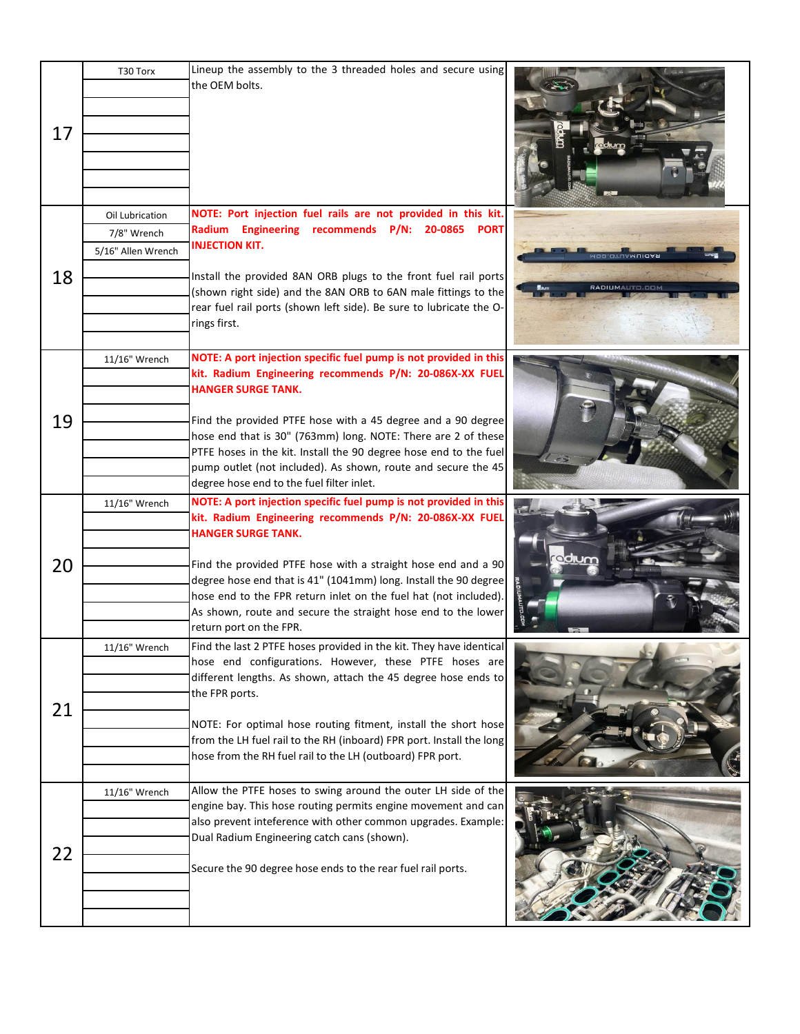| 17 | T30 Torx                                             | Lineup the assembly to the 3 threaded holes and secure using<br>the OEM bolts.                                                                                                                                                                                                                                                                                                                                                                                                |                                             |
|----|------------------------------------------------------|-------------------------------------------------------------------------------------------------------------------------------------------------------------------------------------------------------------------------------------------------------------------------------------------------------------------------------------------------------------------------------------------------------------------------------------------------------------------------------|---------------------------------------------|
| 18 | Oil Lubrication<br>7/8" Wrench<br>5/16" Allen Wrench | NOTE: Port injection fuel rails are not provided in this kit.<br>Radium Engineering recommends P/N: 20-0865 PORT<br><b>INJECTION KIT.</b><br>Install the provided 8AN ORB plugs to the front fuel rail ports<br>(shown right side) and the 8AN ORB to 6AN male fittings to the<br>rear fuel rail ports (shown left side). Be sure to lubricate the O-<br>rings first.                                                                                                         | <b>ADDIOTIOAL</b><br><b>RADIUMALITELERI</b> |
| 19 | 11/16" Wrench                                        | NOTE: A port injection specific fuel pump is not provided in this<br>kit. Radium Engineering recommends P/N: 20-086X-XX FUEL<br><b>HANGER SURGE TANK.</b><br>Find the provided PTFE hose with a 45 degree and a 90 degree<br>hose end that is 30" (763mm) long. NOTE: There are 2 of these<br>PTFE hoses in the kit. Install the 90 degree hose end to the fuel<br>pump outlet (not included). As shown, route and secure the 45<br>degree hose end to the fuel filter inlet. |                                             |
| 20 | 11/16" Wrench                                        | NOTE: A port injection specific fuel pump is not provided in this<br>kit. Radium Engineering recommends P/N: 20-086X-XX FUEL<br><b>HANGER SURGE TANK.</b><br>Find the provided PTFE hose with a straight hose end and a 90<br>degree hose end that is 41" (1041mm) long. Install the 90 degree<br>hose end to the FPR return inlet on the fuel hat (not included).<br>As shown, route and secure the straight hose end to the lower<br>return port on the FPR.                | edlum                                       |
| 21 | 11/16" Wrench                                        | Find the last 2 PTFE hoses provided in the kit. They have identical<br>hose end configurations. However, these PTFE hoses are<br>different lengths. As shown, attach the 45 degree hose ends to<br>the FPR ports.<br>NOTE: For optimal hose routing fitment, install the short hose<br>from the LH fuel rail to the RH (inboard) FPR port. Install the long<br>hose from the RH fuel rail to the LH (outboard) FPR port.                                                      |                                             |
| 22 | 11/16" Wrench                                        | Allow the PTFE hoses to swing around the outer LH side of the<br>engine bay. This hose routing permits engine movement and can<br>also prevent inteference with other common upgrades. Example:<br>Dual Radium Engineering catch cans (shown).<br>Secure the 90 degree hose ends to the rear fuel rail ports.                                                                                                                                                                 |                                             |